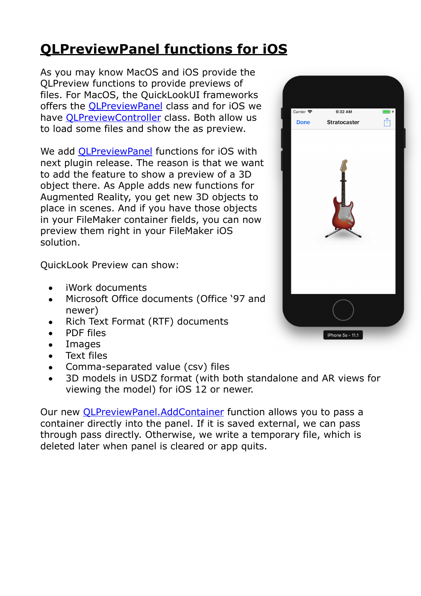## **[QLPreviewPanel functions for iOS](https://www.mbs-plugins.com/archive/2018-08-15/QLPreviewPanel_functions_for_i/monkeybreadsoftware_blog_filemaker)**

As you may know MacOS and iOS provide the QLPreview functions to provide previews of files. For MacOS, the QuickLookUI frameworks offers the [QLPreviewPanel](https://developer.apple.com/documentation/quartz/qlpreviewpanel) class and for iOS we have [QLPreviewController](https://developer.apple.com/documentation/quicklook/qlpreviewcontroller) class. Both allow us to load some files and show the as preview.

We add [QLPreviewPanel](http://www.mbsplugins.eu/component_QLPreviewPanel.shtml) functions for iOS with next plugin release. The reason is that we want to add the feature to show a preview of a 3D object there. As Apple adds new functions for Augmented Reality, you get new 3D objects to place in scenes. And if you have those objects in your FileMaker container fields, you can now preview them right in your FileMaker iOS solution.

QuickLook Preview can show:

- iWork documents
- Microsoft Office documents (Office '97 and newer)
- Rich Text Format (RTF) documents
- PDF files
- Images
- Text files
- Comma-separated value (csv) files
- 3D models in USDZ format (with both standalone and AR views for viewing the model) for iOS 12 or newer.

Our new [QLPreviewPanel.AddContainer](http://www.mbsplugins.eu/QLPreviewPanelAddContainer.shtml) function allows you to pass a container directly into the panel. If it is saved external, we can pass through pass directly. Otherwise, we write a temporary file, which is deleted later when panel is cleared or app quits.